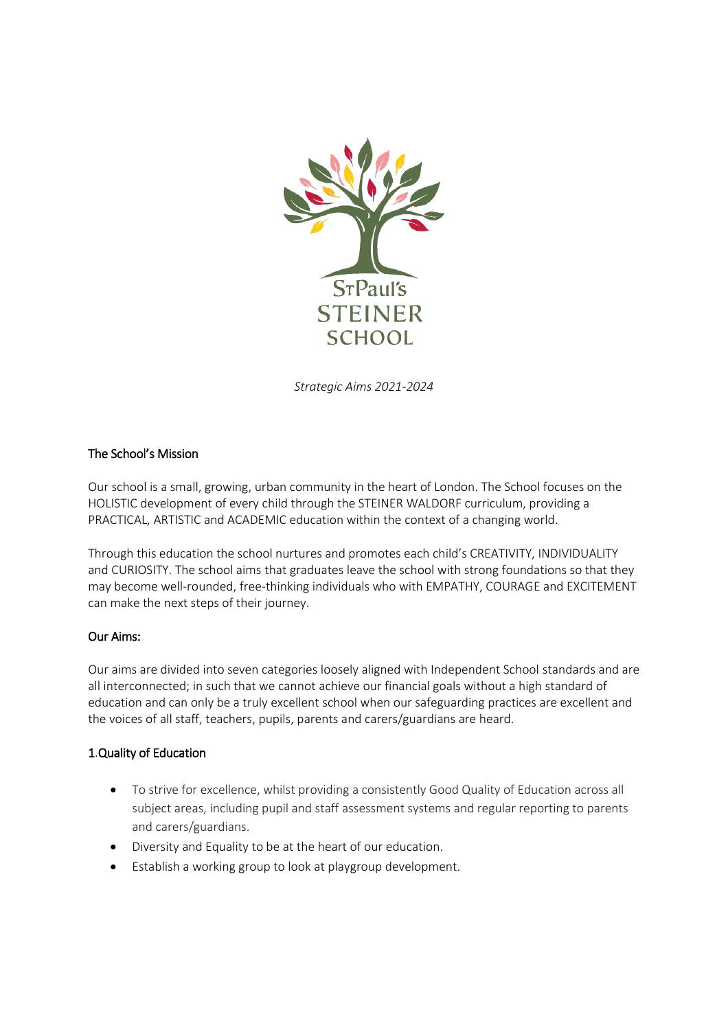

*Strategic Aims 2021-2024*

### The School's Mission

Our school is a small, growing, urban community in the heart of London. The School focuses on the HOLISTIC development of every child through the STEINER WALDORF curriculum, providing a PRACTICAL, ARTISTIC and ACADEMIC education within the context of a changing world.

Through this education the school nurtures and promotes each child's CREATIVITY, INDIVIDUALITY and CURIOSITY. The school aims that graduates leave the school with strong foundations so that they may become well-rounded, free-thinking individuals who with EMPATHY, COURAGE and EXCITEMENT can make the next steps of their journey.

#### Our Aims:

Our aims are divided into seven categories loosely aligned with Independent School standards and are all interconnected; in such that we cannot achieve our financial goals without a high standard of education and can only be a truly excellent school when our safeguarding practices are excellent and the voices of all staff, teachers, pupils, parents and carers/guardians are heard.

### 1.Quality of Education

- To strive for excellence, whilst providing a consistently Good Quality of Education across all subject areas, including pupil and staff assessment systems and regular reporting to parents and carers/guardians.
- Diversity and Equality to be at the heart of our education.
- Establish a working group to look at playgroup development.